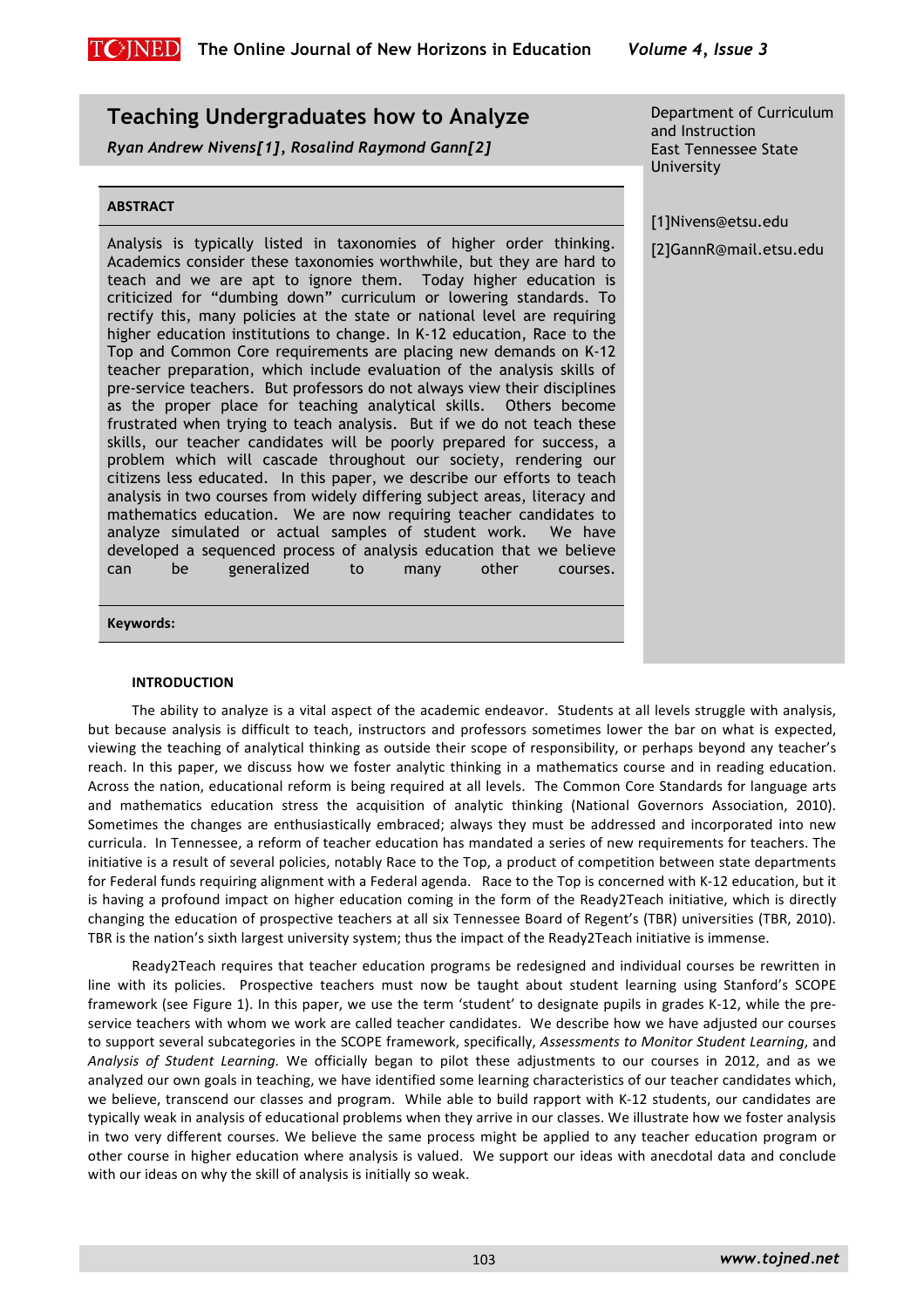

# **Teaching Undergraduates how to Analyze**

*Ryan Andrew Nivens[1], Rosalind Raymond Gann[2]*

# **ABSTRACT**

Analysis is typically listed in taxonomies of higher order thinking. Academics consider these taxonomies worthwhile, but they are hard to teach and we are apt to ignore them. Today higher education is criticized for "dumbing down" curriculum or lowering standards. To rectify this, many policies at the state or national level are requiring higher education institutions to change. In K-12 education, Race to the Top and Common Core requirements are placing new demands on K-12 teacher preparation, which include evaluation of the analysis skills of pre-service teachers. But professors do not always view their disciplines as the proper place for teaching analytical skills. Others become frustrated when trying to teach analysis. But if we do not teach these skills, our teacher candidates will be poorly prepared for success, a problem which will cascade throughout our society, rendering our citizens less educated. In this paper, we describe our efforts to teach analysis in two courses from widely differing subject areas, literacy and mathematics education. We are now requiring teacher candidates to analyze simulated or actual samples of student work. We have developed a sequenced process of analysis education that we believe can be generalized to many other courses.

Department of Curriculum and Instruction East Tennessee State University

[1]Nivens@etsu.edu

[2]GannR@mail.etsu.edu

# **Keywords:0**

## **INTRODUCTION**

The ability to analyze is a vital aspect of the academic endeavor. Students at all levels struggle with analysis, but because analysis is difficult to teach, instructors and professors sometimes lower the bar on what is expected, viewing the teaching of analytical thinking as outside their scope of responsibility, or perhaps beyond any teacher's reach. In this paper, we discuss how we foster analytic thinking in a mathematics course and in reading education. Across the nation, educational reform is being required at all levels. The Common Core Standards for language arts and mathematics education stress the acquisition of analytic thinking (National Governors Association, 2010). Sometimes the changes are enthusiastically embraced; always they must be addressed and incorporated into new curricula. In Tennessee, a reform of teacher education has mandated a series of new requirements for teachers. The initiative is a result of several policies, notably Race to the Top, a product of competition between state departments for Federal funds requiring alignment with a Federal agenda. Race to the Top is concerned with K-12 education, but it is having a profound impact on higher education coming in the form of the Ready2Teach initiative, which is directly changing the education of prospective teachers at all six Tennessee Board of Regent's (TBR) universities (TBR, 2010). TBR is the nation's sixth largest university system; thus the impact of the Ready2Teach initiative is immense.

Ready2Teach requires that teacher education programs be redesigned and individual courses be rewritten in line with its policies. Prospective teachers must now be taught about student learning using Stanford's SCOPE framework (see Figure 1). In this paper, we use the term 'student' to designate pupils in grades K-12, while the preservice teachers with whom we work are called teacher candidates. We describe how we have adjusted our courses to support several subcategories in the SCOPE framework, specifically, *Assessments to Monitor Student Learning*, and Analysis of Student Learning. We officially began to pilot these adjustments to our courses in 2012, and as we analyzed our own goals in teaching, we have identified some learning characteristics of our teacher candidates which, we believe, transcend our classes and program. While able to build rapport with K-12 students, our candidates are typically weak in analysis of educational problems when they arrive in our classes. We illustrate how we foster analysis in two very different courses. We believe the same process might be applied to any teacher education program or other course in higher education where analysis is valued. We support our ideas with anecdotal data and conclude with our ideas on why the skill of analysis is initially so weak.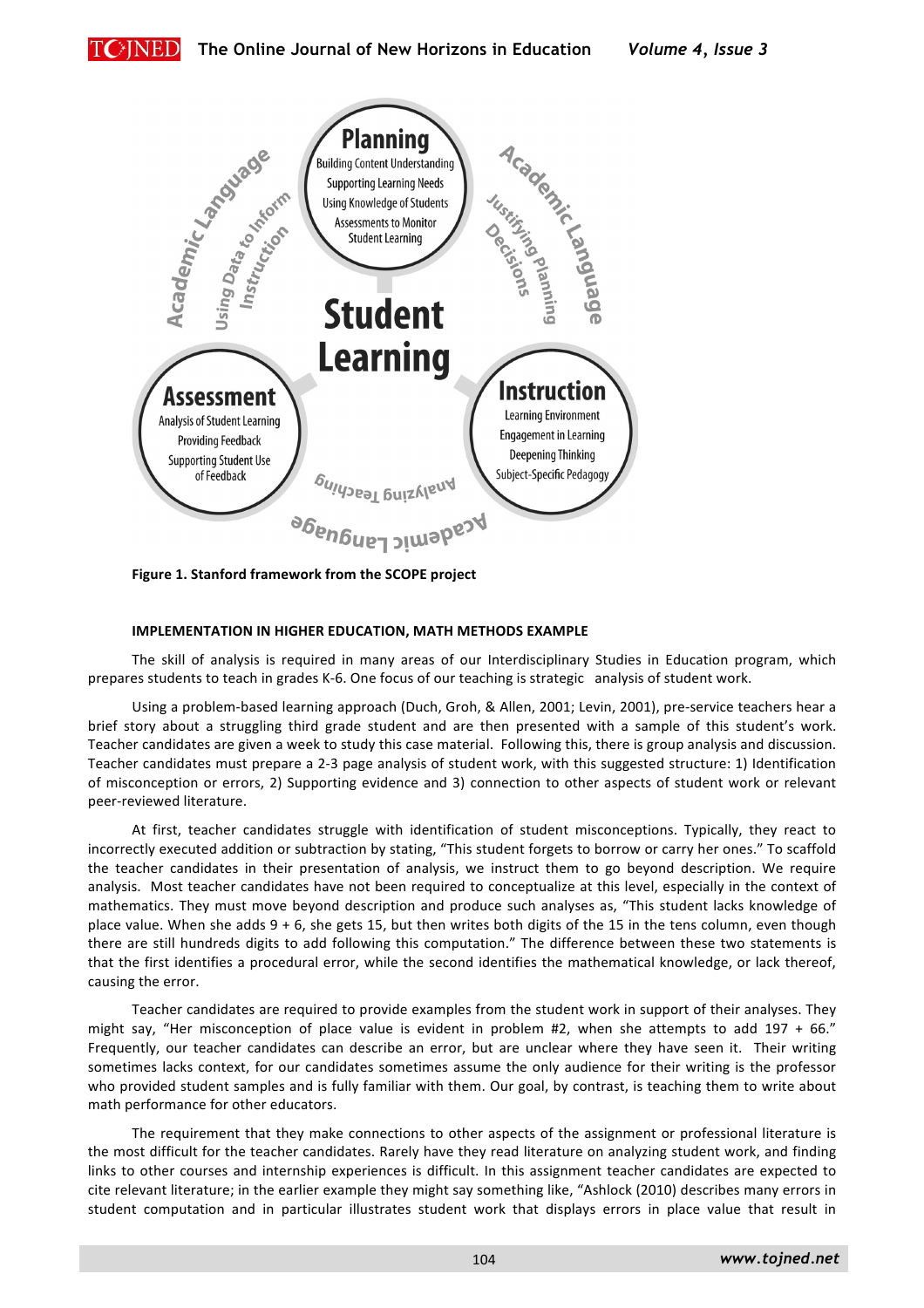



Figure 1. Stanford framework from the SCOPE project

# IMPLEMENTATION IN HIGHER EDUCATION, MATH METHODS EXAMPLE

The skill of analysis is required in many areas of our Interdisciplinary Studies in Education program, which prepares students to teach in grades K-6. One focus of our teaching is strategic analysis of student work.

Using a problem-based learning approach (Duch, Groh, & Allen, 2001; Levin, 2001), pre-service teachers hear a brief story about a struggling third grade student and are then presented with a sample of this student's work. Teacher candidates are given a week to study this case material. Following this, there is group analysis and discussion. Teacher candidates must prepare a 2-3 page analysis of student work, with this suggested structure: 1) Identification of misconception or errors, 2) Supporting evidence and 3) connection to other aspects of student work or relevant peer-reviewed literature.

At first, teacher candidates struggle with identification of student misconceptions. Typically, they react to incorrectly executed addition or subtraction by stating, "This student forgets to borrow or carry her ones." To scaffold the teacher candidates in their presentation of analysis, we instruct them to go beyond description. We require analysis. Most teacher candidates have not been required to conceptualize at this level, especially in the context of mathematics. They must move beyond description and produce such analyses as, "This student lacks knowledge of place value. When she adds  $9 + 6$ , she gets 15, but then writes both digits of the 15 in the tens column, even though there are still hundreds digits to add following this computation." The difference between these two statements is that the first identifies a procedural error, while the second identifies the mathematical knowledge, or lack thereof, causing the error.

Teacher candidates are required to provide examples from the student work in support of their analyses. They might say, "Her misconception of place value is evident in problem #2, when she attempts to add 197 + 66." Frequently, our teacher candidates can describe an error, but are unclear where they have seen it. Their writing sometimes lacks context, for our candidates sometimes assume the only audience for their writing is the professor who provided student samples and is fully familiar with them. Our goal, by contrast, is teaching them to write about math performance for other educators.

The requirement that they make connections to other aspects of the assignment or professional literature is the most difficult for the teacher candidates. Rarely have they read literature on analyzing student work, and finding links to other courses and internship experiences is difficult. In this assignment teacher candidates are expected to cite relevant literature; in the earlier example they might say something like, "Ashlock (2010) describes many errors in student computation and in particular illustrates student work that displays errors in place value that result in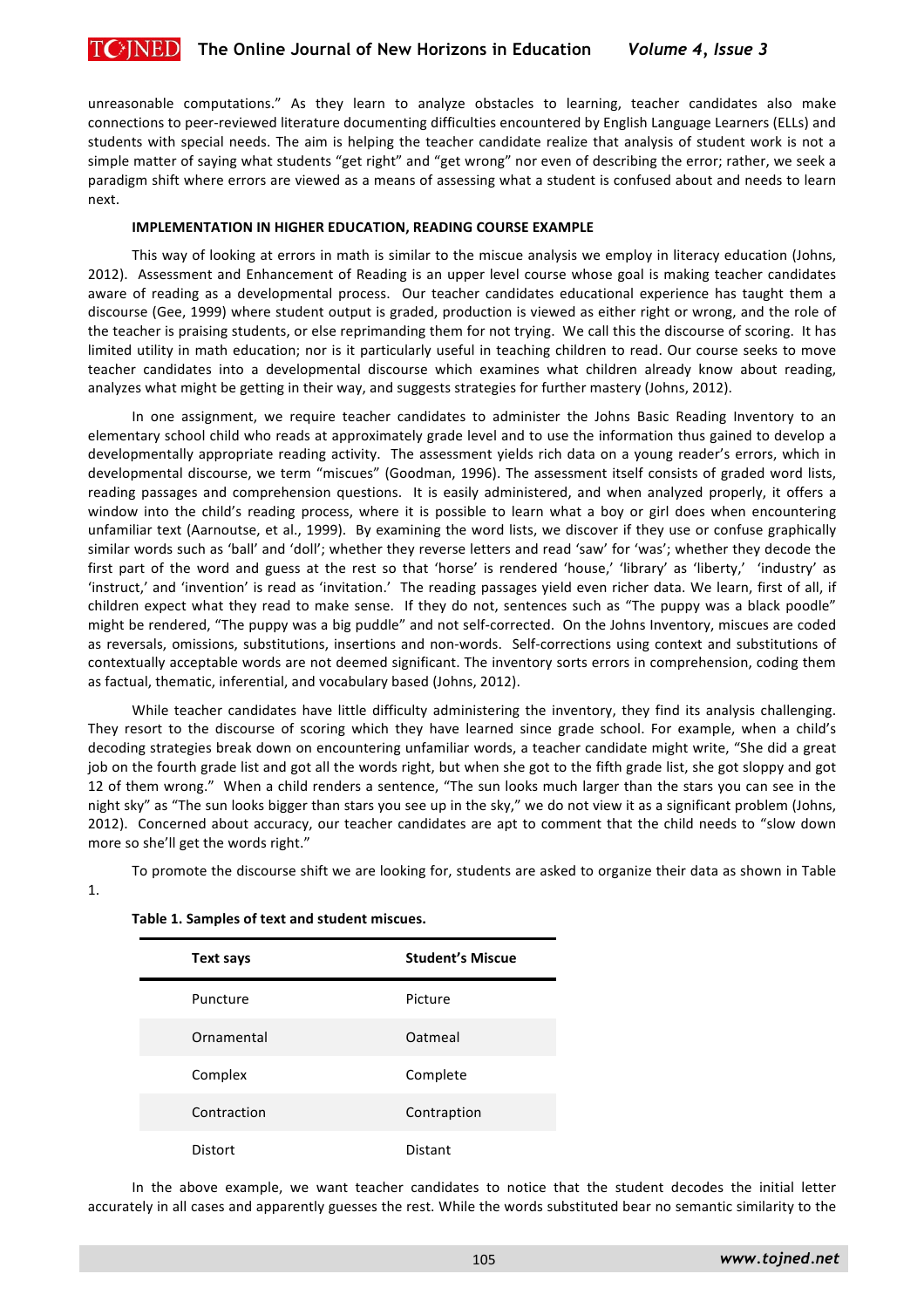unreasonable computations." As they learn to analyze obstacles to learning, teacher candidates also make connections to peer-reviewed literature documenting difficulties encountered by English Language Learners (ELLs) and students with special needs. The aim is helping the teacher candidate realize that analysis of student work is not a simple matter of saying what students "get right" and "get wrong" nor even of describing the error; rather, we seek a paradigm shift where errors are viewed as a means of assessing what a student is confused about and needs to learn next.

#### **IMPLEMENTATION IN HIGHER EDUCATION, READING COURSE EXAMPLE**

This way of looking at errors in math is similar to the miscue analysis we employ in literacy education (Johns, 2012). Assessment and Enhancement of Reading is an upper level course whose goal is making teacher candidates aware of reading as a developmental process. Our teacher candidates educational experience has taught them a discourse (Gee, 1999) where student output is graded, production is viewed as either right or wrong, and the role of the teacher is praising students, or else reprimanding them for not trying. We call this the discourse of scoring. It has limited utility in math education; nor is it particularly useful in teaching children to read. Our course seeks to move teacher candidates into a developmental discourse which examines what children already know about reading, analyzes what might be getting in their way, and suggests strategies for further mastery (Johns, 2012).

In one assignment, we require teacher candidates to administer the Johns Basic Reading Inventory to an elementary school child who reads at approximately grade level and to use the information thus gained to develop a developmentally appropriate reading activity. The assessment yields rich data on a young reader's errors, which in developmental discourse, we term "miscues" (Goodman, 1996). The assessment itself consists of graded word lists, reading passages and comprehension questions. It is easily administered, and when analyzed properly, it offers a window into the child's reading process, where it is possible to learn what a boy or girl does when encountering unfamiliar text (Aarnoutse, et al., 1999). By examining the word lists, we discover if they use or confuse graphically similar words such as 'ball' and 'doll'; whether they reverse letters and read 'saw' for 'was'; whether they decode the first part of the word and guess at the rest so that 'horse' is rendered 'house,' 'library' as 'liberty,' 'industry' as 'instruct,' and 'invention' is read as 'invitation.' The reading passages yield even richer data. We learn, first of all, if children expect what they read to make sense. If they do not, sentences such as "The puppy was a black poodle" might be rendered, "The puppy was a big puddle" and not self-corrected. On the Johns Inventory, miscues are coded as reversals, omissions, substitutions, insertions and non-words. Self-corrections using context and substitutions of contextually acceptable words are not deemed significant. The inventory sorts errors in comprehension, coding them as factual, thematic, inferential, and vocabulary based (Johns, 2012).

While teacher candidates have little difficulty administering the inventory, they find its analysis challenging. They resort to the discourse of scoring which they have learned since grade school. For example, when a child's decoding strategies break down on encountering unfamiliar words, a teacher candidate might write, "She did a great job on the fourth grade list and got all the words right, but when she got to the fifth grade list, she got sloppy and got 12 of them wrong." When a child renders a sentence, "The sun looks much larger than the stars you can see in the night sky" as "The sun looks bigger than stars you see up in the sky," we do not view it as a significant problem (Johns, 2012). Concerned about accuracy, our teacher candidates are apt to comment that the child needs to "slow down more so she'll get the words right."

To promote the discourse shift we are looking for, students are asked to organize their data as shown in Table

| Text says      | <b>Student's Miscue</b> |
|----------------|-------------------------|
| Puncture       | Picture                 |
| Ornamental     | Oatmeal                 |
| Complex        | Complete                |
| Contraction    | Contraption             |
| <b>Distort</b> | Distant                 |

#### Table 1. Samples of text and student miscues.

1.

In the above example, we want teacher candidates to notice that the student decodes the initial letter accurately in all cases and apparently guesses the rest. While the words substituted bear no semantic similarity to the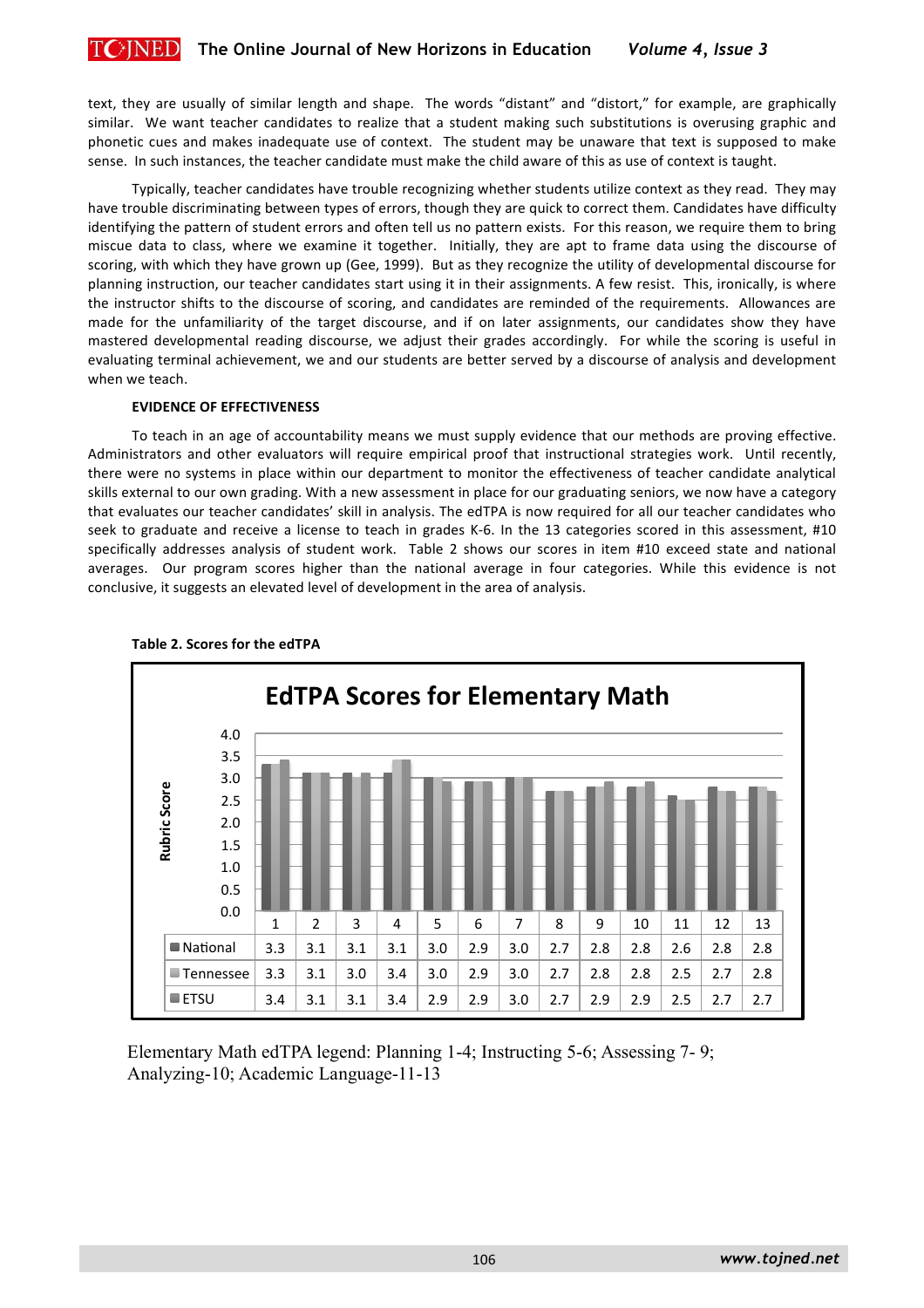text, they are usually of similar length and shape. The words "distant" and "distort," for example, are graphically similar. We want teacher candidates to realize that a student making such substitutions is overusing graphic and phonetic cues and makes inadequate use of context. The student may be unaware that text is supposed to make sense. In such instances, the teacher candidate must make the child aware of this as use of context is taught.

Typically, teacher candidates have trouble recognizing whether students utilize context as they read. They may have trouble discriminating between types of errors, though they are quick to correct them. Candidates have difficulty identifying the pattern of student errors and often tell us no pattern exists. For this reason, we require them to bring miscue data to class, where we examine it together. Initially, they are apt to frame data using the discourse of scoring, with which they have grown up (Gee, 1999). But as they recognize the utility of developmental discourse for planning instruction, our teacher candidates start using it in their assignments. A few resist. This, ironically, is where the instructor shifts to the discourse of scoring, and candidates are reminded of the requirements. Allowances are made for the unfamiliarity of the target discourse, and if on later assignments, our candidates show they have mastered developmental reading discourse, we adjust their grades accordingly. For while the scoring is useful in evaluating terminal achievement, we and our students are better served by a discourse of analysis and development when we teach.

## **EVIDENCE OF EFFECTIVENESS**

To teach in an age of accountability means we must supply evidence that our methods are proving effective. Administrators and other evaluators will require empirical proof that instructional strategies work. Until recently, there were no systems in place within our department to monitor the effectiveness of teacher candidate analytical skills external to our own grading. With a new assessment in place for our graduating seniors, we now have a category that evaluates our teacher candidates' skill in analysis. The edTPA is now required for all our teacher candidates who seek to graduate and receive a license to teach in grades K-6. In the 13 categories scored in this assessment, #10 specifically addresses analysis of student work. Table 2 shows our scores in item #10 exceed state and national averages. Our program scores higher than the national average in four categories. While this evidence is not conclusive, it suggests an elevated level of development in the area of analysis.



# Table 2. Scores for the edTPA

Elementary Math edTPA legend: Planning 1-4; Instructing 5-6; Assessing 7- 9; Analyzing-10; Academic Language-11-13